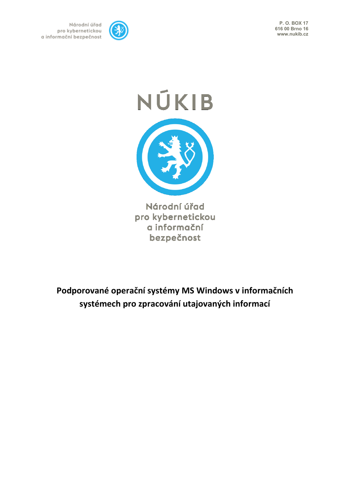**P. O. BOX 17 616 00 Brno 16 www.nukib.cz**



Národní úřad pro kybernetickou a informační bezpečnost

## NÚKIB

Národní úřad pro kybernetickou a informační bezpečnost

**Podporované operační systémy MS Windows v informačních systémech pro zpracování utajovaných informací**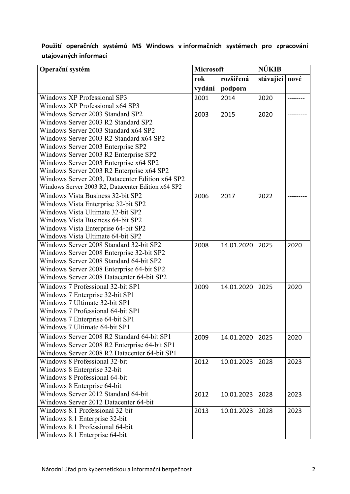| Operační systém                                    | <b>Microsoft</b> |            | <b>NUKIB</b>     |      |
|----------------------------------------------------|------------------|------------|------------------|------|
|                                                    | rok              | rozšířená  | stávající   nové |      |
|                                                    | vydání           | podpora    |                  |      |
| <b>Windows XP Professional SP3</b>                 | 2001             | 2014       | 2020             |      |
| Windows XP Professional x64 SP3                    |                  |            |                  |      |
| Windows Server 2003 Standard SP2                   | 2003             | 2015       | 2020             |      |
| Windows Server 2003 R2 Standard SP2                |                  |            |                  |      |
| Windows Server 2003 Standard x64 SP2               |                  |            |                  |      |
| Windows Server 2003 R2 Standard x64 SP2            |                  |            |                  |      |
| Windows Server 2003 Enterprise SP2                 |                  |            |                  |      |
| Windows Server 2003 R2 Enterprise SP2              |                  |            |                  |      |
| Windows Server 2003 Enterprise x64 SP2             |                  |            |                  |      |
| Windows Server 2003 R2 Enterprise x64 SP2          |                  |            |                  |      |
| Windows Server 2003, Datacenter Edition x64 SP2    |                  |            |                  |      |
| Windows Server 2003 R2, Datacenter Edition x64 SP2 |                  |            |                  |      |
| <b>Windows Vista Business 32-bit SP2</b>           | 2006             | 2017       | 2022             |      |
| Windows Vista Enterprise 32-bit SP2                |                  |            |                  |      |
| Windows Vista Ultimate 32-bit SP2                  |                  |            |                  |      |
| Windows Vista Business 64-bit SP2                  |                  |            |                  |      |
| Windows Vista Enterprise 64-bit SP2                |                  |            |                  |      |
| Windows Vista Ultimate 64-bit SP2                  |                  |            |                  |      |
| Windows Server 2008 Standard 32-bit SP2            | 2008             | 14.01.2020 | 2025             | 2020 |
| Windows Server 2008 Enterprise 32-bit SP2          |                  |            |                  |      |
| Windows Server 2008 Standard 64-bit SP2            |                  |            |                  |      |
| Windows Server 2008 Enterprise 64-bit SP2          |                  |            |                  |      |
| Windows Server 2008 Datacenter 64-bit SP2          |                  |            |                  |      |
| Windows 7 Professional 32-bit SP1                  | 2009             | 14.01.2020 | 2025             | 2020 |
| Windows 7 Enterprise 32-bit SP1                    |                  |            |                  |      |
| Windows 7 Ultimate 32-bit SP1                      |                  |            |                  |      |
| Windows 7 Professional 64-bit SP1                  |                  |            |                  |      |
| Windows 7 Enterprise 64-bit SP1                    |                  |            |                  |      |
| Windows 7 Ultimate 64-bit SP1                      |                  |            |                  |      |
| Windows Server 2008 R2 Standard 64-bit SP1         | 2009             | 14.01.2020 | 2025             | 2020 |
| Windows Server 2008 R2 Enterprise 64-bit SP1       |                  |            |                  |      |
| Windows Server 2008 R2 Datacenter 64-bit SP1       |                  |            |                  |      |
| Windows 8 Professional 32-bit                      | 2012             | 10.01.2023 | 2028             | 2023 |
| Windows 8 Enterprise 32-bit                        |                  |            |                  |      |
| Windows 8 Professional 64-bit                      |                  |            |                  |      |
| Windows 8 Enterprise 64-bit                        |                  |            |                  |      |
| Windows Server 2012 Standard 64-bit                | 2012             | 10.01.2023 | 2028             | 2023 |
| Windows Server 2012 Datacenter 64-bit              |                  |            |                  |      |
| Windows 8.1 Professional 32-bit                    | 2013             | 10.01.2023 | 2028             | 2023 |
| Windows 8.1 Enterprise 32-bit                      |                  |            |                  |      |
| Windows 8.1 Professional 64-bit                    |                  |            |                  |      |
| Windows 8.1 Enterprise 64-bit                      |                  |            |                  |      |

## **Použití operačních systémů MS Windows v informačních systémech pro zpracování utajovaných informací**